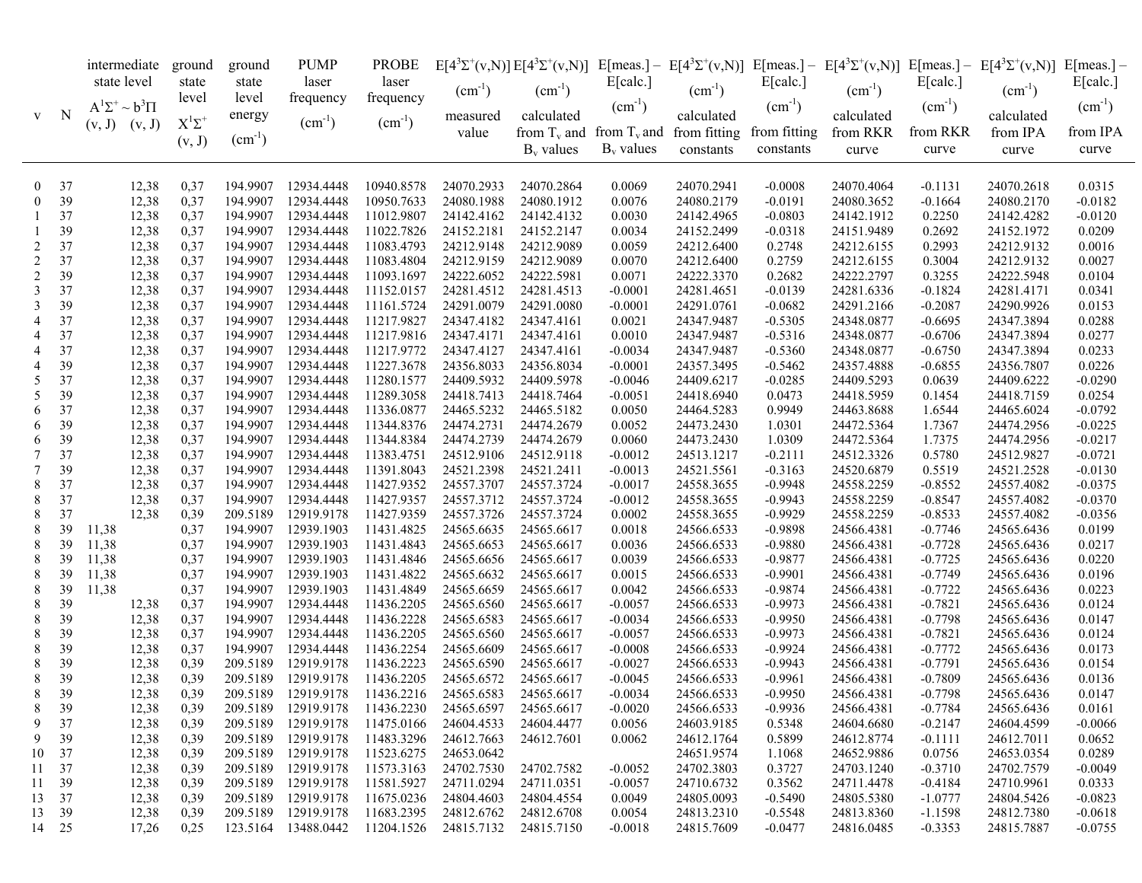|                |             | intermediate<br>state level |                           | ground<br>state | ground<br>state      | <b>PUMP</b><br>laser     | <b>PROBE</b><br>laser    |                          |                | E[calc.]               |                             | E[calc.]         | $(cm^{-1})$              | E[calc.]               | $E[4^{3}\Sigma^{+}(v,N)]E[4^{3}\Sigma^{+}(v,N)]$ E[meas.] - $E[4^{3}\Sigma^{+}(v,N)]$ E[meas.] - $E[4^{3}\Sigma^{+}(v,N)]$ E[meas.] - $E[4^{3}\Sigma^{+}(v,N)]$ E[meas.] - | E[calc.]            |
|----------------|-------------|-----------------------------|---------------------------|-----------------|----------------------|--------------------------|--------------------------|--------------------------|----------------|------------------------|-----------------------------|------------------|--------------------------|------------------------|----------------------------------------------------------------------------------------------------------------------------------------------------------------------------|---------------------|
|                |             |                             | $A^1\Sigma^+ \sim b^3\Pi$ |                 | level                | frequency                | frequency                | $(cm^{-1})$              | $(cm^{-1})$    | $(cm^{-1})$            | $(cm^{-1})$                 | $(cm^{-1})$      |                          | $(cm^{-1})$            | $(cm^{-1})$                                                                                                                                                                | $(cm^{-1})$         |
| V              | $\mathbf N$ | $(v, J)$ $(v, J)$           |                           | $X^1\Sigma^+$   | energy               | $(cm^{-1})$              | $(cm^{-1})$              | measured                 | calculated     |                        | calculated                  |                  | calculated               |                        | calculated                                                                                                                                                                 |                     |
|                |             |                             |                           | (v, J)          | $(cm^{-1})$          |                          |                          | value                    | from $T_v$ and |                        | from $T_v$ and from fitting | from fitting     | from RKR                 | from RKR               | from IPA                                                                                                                                                                   | from IPA            |
|                |             |                             |                           |                 |                      |                          |                          |                          | $B_v$ values   | $B_v$ values           | constants                   | constants        | curve                    | curve                  | curve                                                                                                                                                                      | curve               |
| $\mathbf{0}$   | 37          |                             | 12,38                     | 0,37            | 194.9907             | 12934.4448               | 10940.8578               | 24070.2933               | 24070.2864     | 0.0069                 | 24070.2941                  | $-0.0008$        | 24070.4064               | $-0.1131$              | 24070.2618                                                                                                                                                                 | 0.0315              |
| $\mathbf{0}$   | 39          |                             | 12,38                     | 0,37            | 194.9907             | 12934.4448               | 10950.7633               | 24080.1988               | 24080.1912     | 0.0076                 | 24080.2179                  | $-0.0191$        | 24080.3652               | $-0.1664$              | 24080.2170                                                                                                                                                                 | $-0.0182$           |
| -1             | 37          |                             | 12,38                     | 0,37            | 194.9907             | 12934.4448               | 11012.9807               | 24142.4162               | 24142.4132     | 0.0030                 | 24142.4965                  | $-0.0803$        | 24142.1912               | 0.2250                 | 24142.4282                                                                                                                                                                 | $-0.0120$           |
|                | 39          |                             | 12,38                     | 0,37            | 194.9907             | 12934.4448               | 11022.7826               | 24152.2181               | 24152.2147     | 0.0034                 | 24152.2499                  | $-0.0318$        | 24151.9489               | 0.2692                 | 24152.1972                                                                                                                                                                 | 0.0209              |
| $\overline{c}$ | 37          |                             | 12,38                     | 0,37            | 194.9907             | 12934.4448               | 11083.4793               | 24212.9148               | 24212.9089     | 0.0059                 | 24212.6400                  | 0.2748           | 24212.6155               | 0.2993                 | 24212.9132                                                                                                                                                                 | 0.0016              |
| $\overline{c}$ | 37          |                             | 12,38                     | 0,37            | 194.9907             | 12934.4448               | 11083.4804               | 24212.9159               | 24212.9089     | 0.0070                 | 24212.6400                  | 0.2759           | 24212.6155               | 0.3004                 | 24212.9132                                                                                                                                                                 | 0.0027              |
| $\overline{c}$ | 39          |                             | 12,38                     | 0,37            | 194.9907             | 12934.4448               | 11093.1697               | 24222.6052               | 24222.5981     | 0.0071                 | 24222.3370                  | 0.2682           | 24222.2797               | 0.3255                 | 24222.5948                                                                                                                                                                 | 0.0104              |
| 3              | 37          |                             | 12,38                     | 0,37            | 194.9907             | 12934.4448               | 11152.0157               | 24281.4512               | 24281.4513     | $-0.0001$              | 24281.4651                  | $-0.0139$        | 24281.6336               | $-0.1824$              | 24281.4171                                                                                                                                                                 | 0.0341              |
| 3              | 39          |                             | 12,38                     | 0,37            | 194.9907             | 12934.4448               | 11161.5724               | 24291.0079               | 24291.0080     | $-0.0001$              | 24291.0761                  | $-0.0682$        | 24291.2166               | $-0.2087$              | 24290.9926                                                                                                                                                                 | 0.0153              |
| 4              | 37          |                             | 12,38                     | 0,37            | 194.9907             | 12934.4448               | 11217.9827               | 24347.4182               | 24347.4161     | 0.0021                 | 24347.9487                  | $-0.5305$        | 24348.0877               | $-0.6695$              | 24347.3894                                                                                                                                                                 | 0.0288              |
| 4              | 37          |                             | 12,38                     | 0,37            | 194.9907             | 12934.4448               | 11217.9816               | 24347.4171               | 24347.4161     | 0.0010                 | 24347.9487                  | $-0.5316$        | 24348.0877               | $-0.6706$              | 24347.3894                                                                                                                                                                 | 0.0277              |
| 4              | 37          |                             | 12,38                     | 0,37            | 194.9907             | 12934.4448               | 11217.9772               | 24347.4127               | 24347.4161     | $-0.0034$              | 24347.9487                  | $-0.5360$        | 24348.0877               | $-0.6750$              | 24347.3894                                                                                                                                                                 | 0.0233              |
| 4              | 39          |                             | 12,38                     | 0,37            | 194.9907             | 12934.4448               | 11227.3678               | 24356.8033               | 24356.8034     | $-0.0001$              | 24357.3495                  | $-0.5462$        | 24357.4888               | $-0.6855$              | 24356.7807                                                                                                                                                                 | 0.0226              |
| 5              | 37          |                             | 12,38                     | 0,37            | 194.9907             | 12934.4448               | 11280.1577               | 24409.5932               | 24409.5978     | $-0.0046$              | 24409.6217                  | $-0.0285$        | 24409.5293               | 0.0639                 | 24409.6222                                                                                                                                                                 | $-0.0290$           |
| 5              | 39          |                             | 12,38                     | 0,37            | 194.9907             | 12934.4448               | 11289.3058               | 24418.7413               | 24418.7464     | $-0.0051$              | 24418.6940                  | 0.0473           | 24418.5959               | 0.1454                 | 24418.7159                                                                                                                                                                 | 0.0254              |
| 6              | 37          |                             | 12,38                     | 0,37            | 194.9907             | 12934.4448               | 11336.0877               | 24465.5232               | 24465.5182     | 0.0050                 | 24464.5283                  | 0.9949           | 24463.8688               | 1.6544                 | 24465.6024                                                                                                                                                                 | $-0.0792$           |
| 6              | 39          |                             | 12,38                     | 0,37            | 194.9907             | 12934.4448               | 11344.8376               | 24474.2731               | 24474.2679     | 0.0052                 | 24473.2430                  | 1.0301           | 24472.5364               | 1.7367                 | 24474.2956                                                                                                                                                                 | $-0.0225$           |
| 6              | 39          |                             | 12,38                     | 0,37            | 194.9907             | 12934.4448               | 11344.8384               | 24474.2739               | 24474.2679     | 0.0060                 | 24473.2430                  | 1.0309           | 24472.5364               | 1.7375                 | 24474.2956                                                                                                                                                                 | $-0.0217$           |
| 7              | 37          |                             | 12,38                     | 0,37            | 194.9907             | 12934.4448               | 11383.4751               | 24512.9106               | 24512.9118     | $-0.0012$              | 24513.1217                  | $-0.2111$        | 24512.3326               | 0.5780                 | 24512.9827                                                                                                                                                                 | $-0.0721$           |
| 7              | 39          |                             | 12,38                     | 0,37            | 194.9907             | 12934.4448               | 11391.8043               | 24521.2398               | 24521.2411     | $-0.0013$              | 24521.5561                  | $-0.3163$        | 24520.6879               | 0.5519                 | 24521.2528                                                                                                                                                                 | $-0.0130$           |
| 8              | 37          |                             | 12,38                     | 0,37            | 194.9907             | 12934.4448               | 11427.9352               | 24557.3707               | 24557.3724     | $-0.0017$              | 24558.3655                  | $-0.9948$        | 24558.2259               | $-0.8552$              | 24557.4082                                                                                                                                                                 | $-0.0375$           |
| 8              | 37          |                             | 12,38                     | 0,37            | 194.9907             | 12934.4448               | 11427.9357               | 24557.3712               | 24557.3724     | $-0.0012$              | 24558.3655                  | $-0.9943$        | 24558.2259               | $-0.8547$              | 24557.4082                                                                                                                                                                 | $-0.0370$           |
| 8              | 37          |                             | 12,38                     | 0,39            | 209.5189             | 12919.9178               | 11427.9359               | 24557.3726               | 24557.3724     | 0.0002                 | 24558.3655                  | $-0.9929$        | 24558.2259               | $-0.8533$              | 24557.4082                                                                                                                                                                 | $-0.0356$           |
| 8              | 39          | 11,38                       |                           | 0,37            | 194.9907             | 12939.1903               | 11431.4825               | 24565.6635               | 24565.6617     | 0.0018                 | 24566.6533                  | $-0.9898$        | 24566.4381               | $-0.7746$              | 24565.6436                                                                                                                                                                 | 0.0199              |
| 8              | 39          | 11,38                       |                           | 0,37            | 194.9907             | 12939.1903               | 11431.4843               | 24565.6653               | 24565.6617     | 0.0036                 | 24566.6533                  | $-0.9880$        | 24566.4381               | $-0.7728$              | 24565.6436                                                                                                                                                                 | 0.0217              |
| 8              | 39          | 11,38                       |                           | 0,37            | 194.9907             | 12939.1903               | 11431.4846               | 24565.6656               | 24565.6617     | 0.0039                 | 24566.6533                  | $-0.9877$        | 24566.4381               | $-0.7725$              | 24565.6436                                                                                                                                                                 | 0.0220              |
| 8              | 39          | 11,38                       |                           | 0,37            | 194.9907             | 12939.1903               | 11431.4822               | 24565.6632               | 24565.6617     | 0.0015                 | 24566.6533                  | $-0.9901$        | 24566.4381               | $-0.7749$              | 24565.6436                                                                                                                                                                 | 0.0196              |
| 8              | 39          | 11,38                       |                           | 0,37            | 194.9907             | 12939.1903               | 11431.4849               | 24565.6659               | 24565.6617     | 0.0042                 | 24566.6533                  | $-0.9874$        | 24566.4381               | $-0.7722$              | 24565.6436                                                                                                                                                                 | 0.0223              |
| 8              | 39          |                             | 12,38                     | 0,37            | 194.9907             | 12934.4448               | 11436.2205               | 24565.6560               | 24565.6617     | $-0.0057$              | 24566.6533                  | $-0.9973$        | 24566.4381               | $-0.7821$              | 24565.6436                                                                                                                                                                 | 0.0124              |
| 8              | 39          |                             | 12,38                     | 0,37            | 194.9907             | 12934.4448               | 11436.2228               | 24565.6583               | 24565.6617     | $-0.0034$              | 24566.6533                  | $-0.9950$        | 24566.4381               | $-0.7798$              | 24565.6436                                                                                                                                                                 | 0.0147              |
| 8              | 39          |                             | 12,38                     | 0,37            | 194.9907             | 12934.4448               | 11436.2205               | 24565.6560               | 24565.6617     | $-0.0057$              | 24566.6533                  | $-0.9973$        | 24566.4381               | $-0.7821$              | 24565.6436                                                                                                                                                                 | 0.0124              |
| 8              | 39          |                             | 12,38                     | 0,37            | 194.9907             | 12934.4448               | 11436.2254               | 24565.6609               | 24565.6617     | $-0.0008$              | 24566.6533                  | $-0.9924$        | 24566.4381               | $-0.7772$              | 24565.6436                                                                                                                                                                 | 0.0173              |
| 8              | 39          |                             | 12,38                     | 0,39            | 209.5189             | 12919.9178               | 11436.2223               | 24565.6590               | 24565.6617     | $-0.0027$              | 24566.6533                  | $-0.9943$        | 24566.4381               | $-0.7791$              | 24565.6436                                                                                                                                                                 | 0.0154              |
| 8              | 39          |                             | 12,38                     | 0,39            | 209.5189             | 12919.9178               | 11436.2205               | 24565.6572               | 24565.6617     | $-0.0045$              | 24566.6533                  | $-0.9961$        | 24566.4381               | $-0.7809$              | 24565.6436                                                                                                                                                                 | 0.0136              |
| 8              | 39          |                             | 12,38                     | 0,39            | 209.5189             | 12919.9178               | 11436.2216               | 24565.6583               | 24565.6617     | $-0.0034$              | 24566.6533                  | $-0.9950$        | 24566.4381               | $-0.7798$              | 24565.6436                                                                                                                                                                 | 0.0147              |
| 8              | 39          |                             | 12,38                     | 0,39            | 209.5189             | 12919.9178               | 11436.2230               | 24565.6597               | 24565.6617     | $-0.0020$              | 24566.6533                  | $-0.9936$        | 24566.4381               | $-0.7784$              | 24565.6436                                                                                                                                                                 | 0.0161              |
| 9              | 37          |                             | 12,38                     | 0,39            | 209.5189             | 12919.9178               | 11475.0166               | 24604.4533               | 24604.4477     | 0.0056                 | 24603.9185                  | 0.5348           | 24604.6680               | $-0.2147$              | 24604.4599                                                                                                                                                                 | $-0.0066$           |
| 9              | 39          |                             | 12,38                     | 0,39            | 209.5189             | 12919.9178               | 11483.3296               | 24612.7663               | 24612.7601     | 0.0062                 | 24612.1764                  | 0.5899           | 24612.8774               | $-0.1111$              | 24612.7011                                                                                                                                                                 | 0.0652              |
| 10             | 37          |                             | 12,38                     | 0,39            | 209.5189<br>209.5189 | 12919.9178               | 11523.6275               | 24653.0642               | 24702.7582     |                        | 24651.9574<br>24702.3803    | 1.1068           | 24652.9886               | 0.0756                 | 24653.0354                                                                                                                                                                 | 0.0289              |
|                | 11 37<br>39 |                             | 12,38                     | 0,39            | 209.5189             | 12919.9178<br>12919.9178 | 11573.3163<br>11581.5927 | 24702.7530<br>24711.0294 | 24711.0351     | $-0.0052$<br>$-0.0057$ | 24710.6732                  | 0.3727<br>0.3562 | 24703.1240<br>24711.4478 | $-0.3710$<br>$-0.4184$ | 24702.7579<br>24710.9961                                                                                                                                                   | $-0.0049$<br>0.0333 |
| 11             | 37          |                             | 12,38<br>12,38            | 0,39            | 209.5189             | 12919.9178               | 11675.0236               | 24804.4603               | 24804.4554     | 0.0049                 | 24805.0093                  | $-0.5490$        | 24805.5380               | $-1.0777$              | 24804.5426                                                                                                                                                                 | $-0.0823$           |
| 13<br>13       | 39          |                             | 12,38                     | 0,39<br>0,39    | 209.5189             | 12919.9178               | 11683.2395               | 24812.6762               | 24812.6708     | 0.0054                 | 24813.2310                  | $-0.5548$        | 24813.8360               | $-1.1598$              | 24812.7380                                                                                                                                                                 | $-0.0618$           |
|                | 14 25       |                             | 17,26                     | 0,25            | 123.5164             | 13488.0442               | 11204.1526               | 24815.7132               | 24815.7150     | $-0.0018$              | 24815.7609                  | $-0.0477$        | 24816.0485               | $-0.3353$              | 24815.7887                                                                                                                                                                 | $-0.0755$           |
|                |             |                             |                           |                 |                      |                          |                          |                          |                |                        |                             |                  |                          |                        |                                                                                                                                                                            |                     |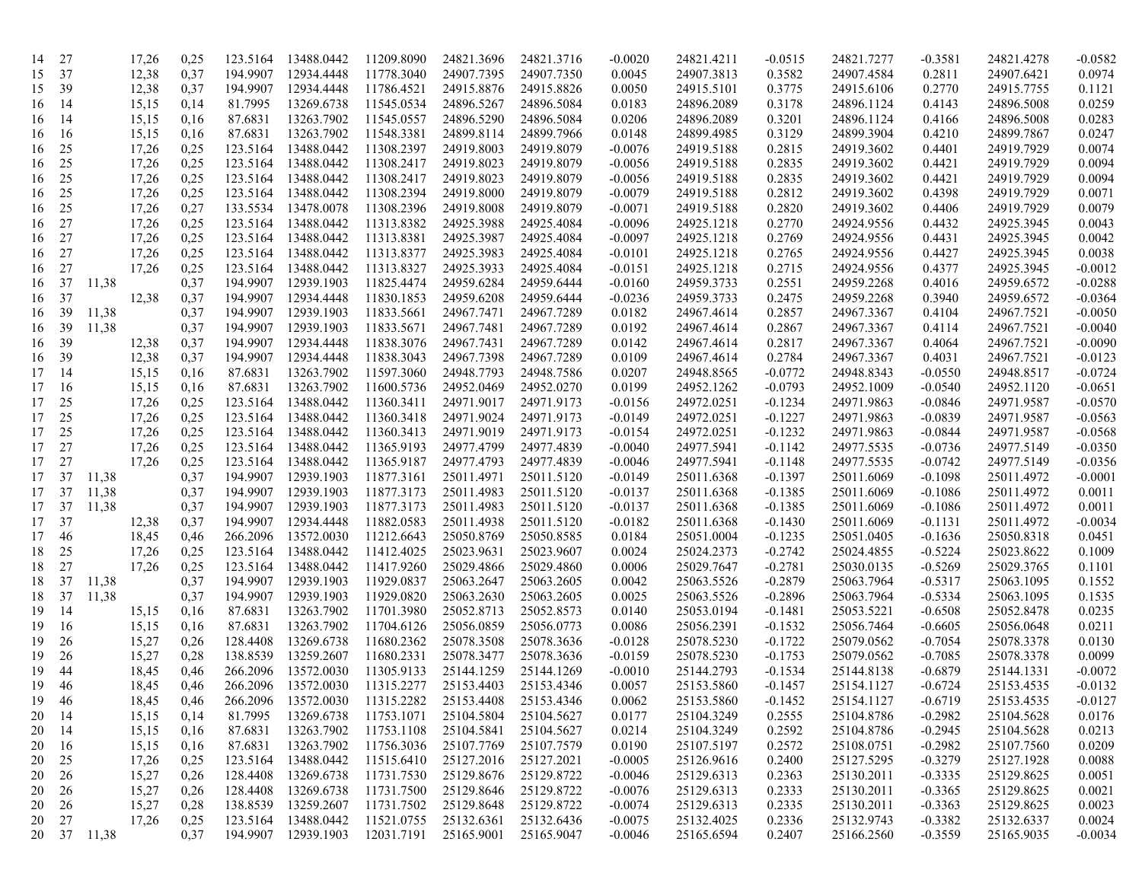| 14 | 27        |             | 17,26 | 0,25 | 123.5164 | 13488.0442               | 11209.8090               | 24821.3696               | 24821.3716 | $-0.0020$ | 24821.4211               | $-0.0515$              | 24821.7277 | -0.3581   | 24821.4278 | $-0.0582$ |
|----|-----------|-------------|-------|------|----------|--------------------------|--------------------------|--------------------------|------------|-----------|--------------------------|------------------------|------------|-----------|------------|-----------|
| 15 | 37        |             | 12,38 | 0,37 | 194.9907 | 12934.4448               | 11778.3040               | 24907.7395               | 24907.7350 | 0.0045    | 24907.3813               | 0.3582                 | 24907.4584 | 0.2811    | 24907.6421 | 0.0974    |
| 15 | 39        |             | 12,38 | 0,37 | 194.9907 | 12934.4448               | 11786.4521               | 24915.8876               | 24915.8826 | 0.0050    | 24915.5101               | 0.3775                 | 24915.6106 | 0.2770    | 24915.7755 | 0.1121    |
| 16 | 14        |             | 15,15 | 0,14 | 81.7995  | 13269.6738               | 11545.0534               | 24896.5267               | 24896.5084 | 0.0183    | 24896.2089               | 0.3178                 | 24896.1124 | 0.4143    | 24896.5008 | 0.0259    |
| 16 | 14        |             | 15,15 | 0,16 | 87.6831  | 13263.7902               | 11545.0557               | 24896.5290               | 24896.5084 | 0.0206    | 24896.2089               | 0.3201                 | 24896.1124 | 0.4166    | 24896.5008 | 0.0283    |
| 16 | -16       |             | 15,15 | 0,16 | 87.6831  | 13263.7902               | 11548.3381               | 24899.8114               | 24899.7966 | 0.0148    | 24899.4985               | 0.3129                 | 24899.3904 | 0.4210    | 24899.7867 | 0.0247    |
| 16 | 25        |             | 17,26 | 0,25 | 123.5164 | 13488.0442               | 11308.2397               | 24919.8003               | 24919.8079 | $-0.0076$ | 24919.5188               | 0.2815                 | 24919.3602 | 0.4401    | 24919.7929 | 0.0074    |
| 16 | 25        |             | 17,26 | 0,25 | 123.5164 | 13488.0442               | 11308.2417               | 24919.8023               | 24919.8079 | $-0.0056$ | 24919.5188               | 0.2835                 | 24919.3602 | 0.4421    | 24919.7929 | 0.0094    |
| 16 | 25        |             | 17,26 | 0,25 | 123.5164 | 13488.0442               | 11308.2417               | 24919.8023               | 24919.8079 | $-0.0056$ | 24919.5188               | 0.2835                 | 24919.3602 | 0.4421    | 24919.7929 | 0.0094    |
| 16 | 25        |             | 17,26 | 0,25 | 123.5164 | 13488.0442               | 11308.2394               | 24919.8000               | 24919.8079 | $-0.0079$ | 24919.5188               | 0.2812                 | 24919.3602 | 0.4398    | 24919.7929 | 0.0071    |
| 16 | 25        |             | 17,26 | 0,27 | 133.5534 | 13478.0078               | 11308.2396               | 24919.8008               | 24919.8079 | $-0.0071$ | 24919.5188               | 0.2820                 | 24919.3602 | 0.4406    | 24919.7929 | 0.0079    |
| 16 | 27        |             | 17,26 | 0,25 | 123.5164 | 13488.0442               | 11313.8382               | 24925.3988               | 24925.4084 | $-0.0096$ | 24925.1218               | 0.2770                 | 24924.9556 | 0.4432    | 24925.3945 | 0.0043    |
| 16 | 27        |             | 17,26 | 0,25 | 123.5164 | 13488.0442               | 11313.8381               | 24925.3987               | 24925.4084 | $-0.0097$ | 24925.1218               | 0.2769                 | 24924.9556 | 0.4431    | 24925.3945 | 0.0042    |
| 16 | 27        |             | 17,26 | 0,25 | 123.5164 | 13488.0442               | 11313.8377               | 24925.3983               | 24925.4084 | $-0.0101$ | 24925.1218               | 0.2765                 | 24924.9556 | 0.4427    | 24925.3945 | 0.0038    |
| 16 | 27        |             | 17,26 | 0,25 | 123.5164 | 13488.0442               | 11313.8327               | 24925.3933               | 24925.4084 | $-0.0151$ | 24925.1218               | 0.2715                 | 24924.9556 | 0.4377    | 24925.3945 | $-0.0012$ |
| 16 | 37        | 11,38       |       | 0,37 | 194.9907 | 12939.1903               | 11825.4474               | 24959.6284               | 24959.6444 | $-0.0160$ | 24959.3733               | 0.2551                 | 24959.2268 | 0.4016    | 24959.6572 | $-0.0288$ |
| 16 | 37        |             | 12,38 | 0,37 | 194.9907 | 12934.4448               | 11830.1853               | 24959.6208               | 24959.6444 | $-0.0236$ | 24959.3733               | 0.2475                 | 24959.2268 | 0.3940    | 24959.6572 | $-0.0364$ |
| 16 | 39        | 11,38       |       | 0,37 | 194.9907 | 12939.1903               | 11833.5661               | 24967.7471               | 24967.7289 | 0.0182    | 24967.4614               | 0.2857                 | 24967.3367 | 0.4104    | 24967.7521 | $-0.0050$ |
| 16 | 39        | 11,38       |       | 0,37 | 194.9907 | 12939.1903               | 11833.5671               | 24967.7481               | 24967.7289 | 0.0192    | 24967.4614               | 0.2867                 | 24967.3367 | 0.4114    | 24967.7521 | $-0.0040$ |
|    | 39        |             | 12,38 |      | 194.9907 | 12934.4448               | 11838.3076               | 24967.7431               | 24967.7289 | 0.0142    | 24967.4614               | 0.2817                 | 24967.3367 |           | 24967.7521 | $-0.0090$ |
| 16 |           |             |       | 0,37 | 194.9907 | 12934.4448               | 11838.3043               | 24967.7398               | 24967.7289 |           | 24967.4614               | 0.2784                 | 24967.3367 | 0.4064    | 24967.7521 |           |
| 16 | 39<br>-14 |             | 12,38 | 0,37 |          |                          |                          |                          |            | 0.0109    |                          |                        |            | 0.4031    | 24948.8517 | $-0.0123$ |
| 17 |           |             | 15,15 | 0,16 | 87.6831  | 13263.7902               | 11597.3060<br>11600.5736 | 24948.7793               | 24948.7586 | 0.0207    | 24948.8565               | -0.0772                | 24948.8343 | $-0.0550$ | 24952.1120 | $-0.0724$ |
| 17 | 16        |             | 15,15 | 0,16 | 87.6831  | 13263.7902<br>13488.0442 |                          | 24952.0469<br>24971.9017 | 24952.0270 | 0.0199    | 24952.1262               | $-0.0793$              | 24952.1009 | $-0.0540$ |            | $-0.0651$ |
| 17 | 25        |             | 17,26 | 0,25 | 123.5164 |                          | 11360.3411               |                          | 24971.9173 | $-0.0156$ | 24972.0251               | $-0.1234$              | 24971.9863 | $-0.0846$ | 24971.9587 | $-0.0570$ |
| 17 | 25        |             | 17,26 | 0,25 | 123.5164 | 13488.0442               | 11360.3418               | 24971.9024               | 24971.9173 | $-0.0149$ | 24972.0251               | $-0.1227$              | 24971.9863 | $-0.0839$ | 24971.9587 | $-0.0563$ |
| 17 | 25        |             | 17,26 | 0,25 | 123.5164 | 13488.0442<br>13488.0442 | 11360.3413               | 24971.9019               | 24971.9173 | $-0.0154$ | 24972.0251<br>24977.5941 | $-0.1232$<br>$-0.1142$ | 24971.9863 | $-0.0844$ | 24971.9587 | $-0.0568$ |
| 17 | 27        |             | 17,26 | 0,25 | 123.5164 |                          | 11365.9193               | 24977.4799               | 24977.4839 | $-0.0040$ |                          |                        | 24977.5535 | $-0.0736$ | 24977.5149 | $-0.0350$ |
| 17 | 27        |             | 17,26 | 0,25 | 123.5164 | 13488.0442               | 11365.9187               | 24977.4793               | 24977.4839 | $-0.0046$ | 24977.5941               | $-0.1148$              | 24977.5535 | $-0.0742$ | 24977.5149 | $-0.0356$ |
| 17 | 37        | 11,38       |       | 0,37 | 194.9907 | 12939.1903               | 11877.3161               | 25011.4971               | 25011.5120 | $-0.0149$ | 25011.6368               | $-0.1397$              | 25011.6069 | $-0.1098$ | 25011.4972 | $-0.0001$ |
| 17 | 37        | 11,38       |       | 0,37 | 194.9907 | 12939.1903               | 11877.3173               | 25011.4983               | 25011.5120 | $-0.0137$ | 25011.6368               | $-0.1385$              | 25011.6069 | $-0.1086$ | 25011.4972 | 0.0011    |
| 17 | 37        | 11,38       |       | 0,37 | 194.9907 | 12939.1903               | 11877.3173               | 25011.4983               | 25011.5120 | $-0.0137$ | 25011.6368               | $-0.1385$              | 25011.6069 | $-0.1086$ | 25011.4972 | 0.0011    |
| 17 | 37        |             | 12,38 | 0,37 | 194.9907 | 12934.4448               | 11882.0583               | 25011.4938               | 25011.5120 | $-0.0182$ | 25011.6368               | $-0.1430$              | 25011.6069 | $-0.1131$ | 25011.4972 | $-0.0034$ |
| 17 | 46        |             | 18,45 | 0,46 | 266.2096 | 13572.0030               | 11212.6643               | 25050.8769               | 25050.8585 | 0.0184    | 25051.0004               | $-0.1235$              | 25051.0405 | $-0.1636$ | 25050.8318 | 0.0451    |
| 18 | 25        |             | 17,26 | 0,25 | 123.5164 | 13488.0442               | 11412.4025               | 25023.9631               | 25023.9607 | 0.0024    | 25024.2373               | $-0.2742$              | 25024.4855 | $-0.5224$ | 25023.8622 | 0.1009    |
| 18 | 27        |             | 17,26 | 0,25 | 123.5164 | 13488.0442               | 11417.9260               | 25029.4866               | 25029.4860 | 0.0006    | 25029.7647               | $-0.2781$              | 25030.0135 | $-0.5269$ | 25029.3765 | 0.1101    |
| 18 | 37        | 11,38       |       | 0,37 | 194.9907 | 12939.1903               | 11929.0837               | 25063.2647               | 25063.2605 | 0.0042    | 25063.5526               | $-0.2879$              | 25063.7964 | $-0.5317$ | 25063.1095 | 0.1552    |
| 18 | 37        | 11,38       |       | 0,37 | 194.9907 | 12939.1903               | 11929.0820               | 25063.2630               | 25063.2605 | 0.0025    | 25063.5526               | $-0.2896$              | 25063.7964 | $-0.5334$ | 25063.1095 | 0.1535    |
| 19 | -14       |             | 15,15 | 0,16 | 87.6831  | 13263.7902               | 11701.3980               | 25052.8713               | 25052.8573 | 0.0140    | 25053.0194               | $-0.1481$              | 25053.5221 | $-0.6508$ | 25052.8478 | 0.0235    |
| 19 | -16       |             | 15,15 | 0,16 | 87.6831  | 13263.7902               | 11704.6126               | 25056.0859               | 25056.0773 | 0.0086    | 25056.2391               | $-0.1532$              | 25056.7464 | $-0.6605$ | 25056.0648 | 0.0211    |
| 19 | 26        |             | 15,27 | 0,26 | 128.4408 | 13269.6738               | 11680.2362               | 25078.3508               | 25078.3636 | $-0.0128$ | 25078.5230               | $-0.1722$              | 25079.0562 | $-0.7054$ | 25078.3378 | 0.0130    |
| 19 | 26        |             | 15,27 | 0,28 | 138.8539 | 13259.2607               | 11680.2331               | 25078.3477               | 25078.3636 | $-0.0159$ | 25078.5230               | $-0.1753$              | 25079.0562 | $-0.7085$ | 25078.3378 | 0.0099    |
| 19 | 44        |             | 18,45 | 0,46 | 266.2096 | 13572.0030               | 11305.9133               | 25144.1259               | 25144.1269 | $-0.0010$ | 25144.2793               | -0.1534                | 25144.8138 | $-0.6879$ | 25144.1331 | $-0.0072$ |
| 19 | 46        |             | 18,45 | 0,46 | 266.2096 | 13572.0030               | 11315.2277               | 25153.4403               | 25153.4346 | 0.0057    | 25153.5860               | -0.1457                | 25154.1127 | $-0.6724$ | 25153.4535 | $-0.0132$ |
| 19 | 46        |             | 18,45 | 0,46 | 266.2096 | 13572.0030               | 11315.2282               | 25153.4408               | 25153.4346 | 0.0062    | 25153.5860               | $-0.1452$              | 25154.1127 | $-0.6719$ | 25153.4535 | $-0.0127$ |
| 20 | -14       |             | 15,15 | 0,14 | 81.7995  | 13269.6738               | 11753.1071               | 25104.5804               | 25104.5627 | 0.0177    | 25104.3249               | 0.2555                 | 25104.8786 | $-0.2982$ | 25104.5628 | 0.0176    |
| 20 | -14       |             | 15,15 | 0,16 | 87.6831  | 13263.7902               | 11753.1108               | 25104.5841               | 25104.5627 | 0.0214    | 25104.3249               | 0.2592                 | 25104.8786 | $-0.2945$ | 25104.5628 | 0.0213    |
| 20 | -16       |             | 15,15 | 0,16 | 87.6831  | 13263.7902               | 11756.3036               | 25107.7769               | 25107.7579 | 0.0190    | 25107.5197               | 0.2572                 | 25108.0751 | $-0.2982$ | 25107.7560 | 0.0209    |
| 20 | 25        |             | 17,26 | 0,25 | 123.5164 | 13488.0442               | 11515.6410               | 25127.2016               | 25127.2021 | $-0.0005$ | 25126.9616               | 0.2400                 | 25127.5295 | $-0.3279$ | 25127.1928 | 0.0088    |
| 20 | 26        |             | 15,27 | 0,26 | 128.4408 | 13269.6738               | 11731.7530               | 25129.8676               | 25129.8722 | $-0.0046$ | 25129.6313               | 0.2363                 | 25130.2011 | $-0.3335$ | 25129.8625 | 0.0051    |
| 20 | 26        |             | 15,27 | 0,26 | 128.4408 | 13269.6738               | 11731.7500               | 25129.8646               | 25129.8722 | $-0.0076$ | 25129.6313               | 0.2333                 | 25130.2011 | $-0.3365$ | 25129.8625 | 0.0021    |
| 20 | 26        |             | 15,27 | 0,28 | 138.8539 | 13259.2607               | 11731.7502               | 25129.8648               | 25129.8722 | $-0.0074$ | 25129.6313               | 0.2335                 | 25130.2011 | $-0.3363$ | 25129.8625 | 0.0023    |
|    | 20 27     |             | 17,26 | 0,25 | 123.5164 | 13488.0442               | 11521.0755               | 25132.6361               | 25132.6436 | $-0.0075$ | 25132.4025               | 0.2336                 | 25132.9743 | $-0.3382$ | 25132.6337 | 0.0024    |
|    |           | 20 37 11,38 |       | 0,37 |          | 194.9907 12939.1903      | 12031.7191 25165.9001    |                          | 25165.9047 | $-0.0046$ | 25165.6594               | 0.2407                 | 25166.2560 | $-0.3559$ | 25165.9035 | $-0.0034$ |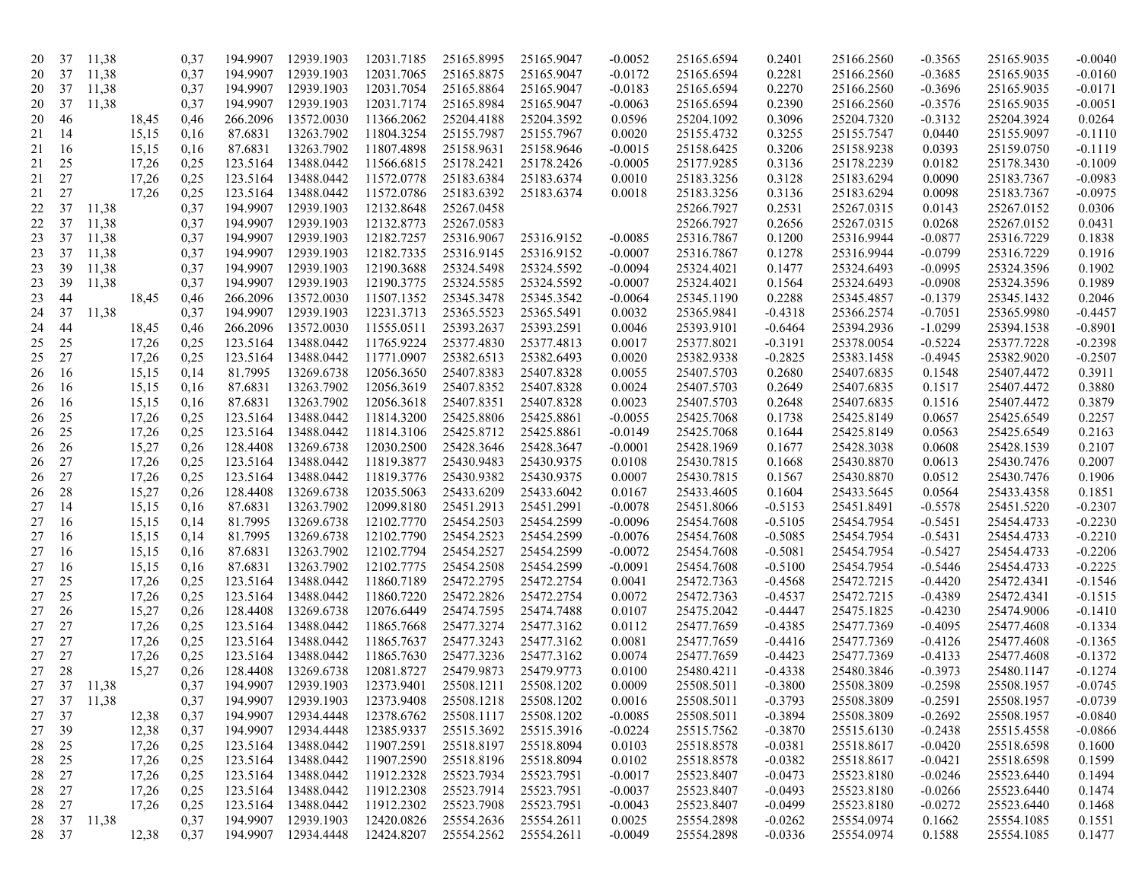| 20       | 37    | 11,38 |       | 0,37 | 194.9907 | 12939.1903          | 12031.7185 | 25165.8995 | 25165.9047 | $-0.0052$ | 25165.6594 | 0.2401    | 25166.2560 | -0.3565   | 25165.9035 | $-0.0040$ |
|----------|-------|-------|-------|------|----------|---------------------|------------|------------|------------|-----------|------------|-----------|------------|-----------|------------|-----------|
| 20       | 37    | 11,38 |       | 0,37 | 194.9907 | 12939.1903          | 12031.7065 | 25165.8875 | 25165.9047 | $-0.0172$ | 25165.6594 | 0.2281    | 25166.2560 | $-0.3685$ | 25165.9035 | $-0.0160$ |
| 20       | 37    | 11,38 |       | 0,37 | 194.9907 | 12939.1903          | 12031.7054 | 25165.8864 | 25165.9047 | $-0.0183$ | 25165.6594 | 0.2270    | 25166.2560 | $-0.3696$ | 25165.9035 | $-0.0171$ |
| 20       | 37    | 11,38 |       | 0,37 | 194.9907 | 12939.1903          | 12031.7174 | 25165.8984 | 25165.9047 | $-0.0063$ | 25165.6594 | 0.2390    | 25166.2560 | $-0.3576$ | 25165.9035 | $-0.0051$ |
| 20       | 46    |       | 18,45 | 0,46 | 266.2096 | 13572.0030          | 11366.2062 | 25204.4188 | 25204.3592 | 0.0596    | 25204.1092 | 0.3096    | 25204.7320 | $-0.3132$ | 25204.3924 | 0.0264    |
| 21       | 14    |       | 15,15 | 0,16 | 87.6831  | 13263.7902          | 11804.3254 | 25155.7987 | 25155.7967 | 0.0020    | 25155.4732 | 0.3255    | 25155.7547 | 0.0440    | 25155.9097 | $-0.1110$ |
| 21       | 16    |       | 15,15 | 0,16 | 87.6831  | 13263.7902          | 11807.4898 | 25158.9631 | 25158.9646 | $-0.0015$ | 25158.6425 | 0.3206    | 25158.9238 | 0.0393    | 25159.0750 | $-0.1119$ |
| 21       | 25    |       | 17,26 | 0,25 | 123.5164 | 13488.0442          | 11566.6815 | 25178.2421 | 25178.2426 | $-0.0005$ | 25177.9285 | 0.3136    | 25178.2239 | 0.0182    | 25178.3430 | $-0.1009$ |
| 21       | 27    |       | 17,26 | 0,25 | 123.5164 | 13488.0442          | 11572.0778 | 25183.6384 | 25183.6374 | 0.0010    | 25183.3256 | 0.3128    | 25183.6294 | 0.0090    | 25183.7367 | $-0.0983$ |
| 21       | 27    |       | 17,26 | 0,25 | 123.5164 | 13488.0442          | 11572.0786 | 25183.6392 | 25183.6374 | 0.0018    | 25183.3256 | 0.3136    | 25183.6294 | 0.0098    | 25183.7367 | $-0.0975$ |
| 22       | 37    | 11,38 |       | 0,37 | 194.9907 | 12939.1903          | 12132.8648 | 25267.0458 |            |           | 25266.7927 | 0.2531    | 25267.0315 | 0.0143    | 25267.0152 | 0.0306    |
| 22       | 37    | 11,38 |       | 0,37 | 194.9907 | 12939.1903          | 12132.8773 | 25267.0583 |            |           | 25266.7927 | 0.2656    | 25267.0315 | 0.0268    | 25267.0152 | 0.0431    |
| 23       | 37    | 11,38 |       | 0,37 | 194.9907 | 12939.1903          | 12182.7257 | 25316.9067 | 25316.9152 | $-0.0085$ | 25316.7867 | 0.1200    | 25316.9944 | -0.0877   | 25316.7229 | 0.1838    |
| 23       | 37    | 11,38 |       | 0,37 | 194.9907 | 12939.1903          | 12182.7335 | 25316.9145 | 25316.9152 | $-0.0007$ | 25316.7867 | 0.1278    | 25316.9944 | $-0.0799$ | 25316.7229 | 0.1916    |
| 23       | 39    | 11,38 |       | 0,37 | 194.9907 | 12939.1903          | 12190.3688 | 25324.5498 | 25324.5592 | $-0.0094$ | 25324.4021 | 0.1477    | 25324.6493 | $-0.0995$ | 25324.3596 | 0.1902    |
| 23       | 39    | 11,38 |       | 0,37 | 194.9907 | 12939.1903          | 12190.3775 | 25324.5585 | 25324.5592 | $-0.0007$ | 25324.4021 | 0.1564    | 25324.6493 | $-0.0908$ | 25324.3596 | 0.1989    |
| 23       | 44    |       | 18,45 | 0,46 | 266.2096 | 13572.0030          | 11507.1352 | 25345.3478 | 25345.3542 | $-0.0064$ | 25345.1190 | 0.2288    | 25345.4857 | $-0.1379$ | 25345.1432 | 0.2046    |
| 24       | 37    | 11,38 |       | 0,37 | 194.9907 | 12939.1903          | 12231.3713 | 25365.5523 | 25365.5491 | 0.0032    | 25365.9841 | $-0.4318$ | 25366.2574 | $-0.7051$ | 25365.9980 | $-0.4457$ |
| 24       | 44    |       | 18,45 | 0,46 | 266.2096 | 13572.0030          | 11555.0511 | 25393.2637 | 25393.2591 | 0.0046    | 25393.9101 | $-0.6464$ | 25394.2936 | $-1.0299$ | 25394.1538 | $-0.8901$ |
| 25       | 25    |       | 17,26 | 0,25 | 123.5164 | 13488.0442          | 11765.9224 | 25377.4830 | 25377.4813 | 0.0017    | 25377.8021 | $-0.3191$ | 25378.0054 | $-0.5224$ | 25377.7228 | $-0.2398$ |
| 25       | 27    |       | 17,26 | 0,25 | 123.5164 | 13488.0442          | 11771.0907 | 25382.6513 | 25382.6493 | 0.0020    | 25382.9338 | $-0.2825$ | 25383.1458 | $-0.4945$ | 25382.9020 | $-0.2507$ |
| 26       | 16    |       | 15,15 | 0,14 | 81.7995  | 13269.6738          | 12056.3650 | 25407.8383 | 25407.8328 | 0.0055    | 25407.5703 | 0.2680    | 25407.6835 | 0.1548    | 25407.4472 | 0.3911    |
| 26       | 16    |       | 15,15 | 0,16 | 87.6831  | 13263.7902          | 12056.3619 | 25407.8352 | 25407.8328 | 0.0024    | 25407.5703 | 0.2649    | 25407.6835 | 0.1517    | 25407.4472 | 0.3880    |
| 26       | 16    |       | 15,15 | 0,16 | 87.6831  | 13263.7902          | 12056.3618 | 25407.8351 | 25407.8328 | 0.0023    | 25407.5703 | 0.2648    | 25407.6835 | 0.1516    | 25407.4472 | 0.3879    |
| 26       | 25    |       | 17,26 | 0,25 | 123.5164 | 13488.0442          | 11814.3200 | 25425.8806 | 25425.8861 | $-0.0055$ | 25425.7068 | 0.1738    | 25425.8149 | 0.0657    | 25425.6549 | 0.2257    |
|          | 25    |       | 17,26 | 0,25 | 123.5164 | 13488.0442          | 11814.3106 | 25425.8712 | 25425.8861 | $-0.0149$ | 25425.7068 | 0.1644    | 25425.8149 | 0.0563    | 25425.6549 | 0.2163    |
| 26<br>26 | 26    |       | 15,27 | 0,26 | 128.4408 | 13269.6738          | 12030.2500 | 25428.3646 | 25428.3647 | $-0.0001$ | 25428.1969 | 0.1677    | 25428.3038 | 0.0608    | 25428.1539 | 0.2107    |
| 26       | 27    |       | 17,26 | 0,25 | 123.5164 | 13488.0442          | 11819.3877 | 25430.9483 | 25430.9375 | 0.0108    | 25430.7815 | 0.1668    | 25430.8870 | 0.0613    | 25430.7476 | 0.2007    |
|          |       |       |       |      | 123.5164 | 13488.0442          | 11819.3776 | 25430.9382 | 25430.9375 |           | 25430.7815 |           | 25430.8870 |           | 25430.7476 |           |
| 26       | 27    |       | 17,26 | 0,25 |          |                     |            |            |            | 0.0007    |            | 0.1567    |            | 0.0512    |            | 0.1906    |
| 26       | 28    |       | 15,27 | 0,26 | 128.4408 | 13269.6738          | 12035.5063 | 25433.6209 | 25433.6042 | 0.0167    | 25433.4605 | 0.1604    | 25433.5645 | 0.0564    | 25433.4358 | 0.1851    |
| 27       | 14    |       | 15,15 | 0,16 | 87.6831  | 13263.7902          | 12099.8180 | 25451.2913 | 25451.2991 | $-0.0078$ | 25451.8066 | $-0.5153$ | 25451.8491 | $-0.5578$ | 25451.5220 | $-0.2307$ |
| 27       | 16    |       | 15,15 | 0,14 | 81.7995  | 13269.6738          | 12102.7770 | 25454.2503 | 25454.2599 | $-0.0096$ | 25454.7608 | $-0.5105$ | 25454.7954 | $-0.5451$ | 25454.4733 | $-0.2230$ |
| 27       | 16    |       | 15,15 | 0,14 | 81.7995  | 13269.6738          | 12102.7790 | 25454.2523 | 25454.2599 | $-0.0076$ | 25454.7608 | $-0.5085$ | 25454.7954 | $-0.5431$ | 25454.4733 | $-0.2210$ |
| 27       | 16    |       | 15,15 | 0,16 | 87.6831  | 13263.7902          | 12102.7794 | 25454.2527 | 25454.2599 | $-0.0072$ | 25454.7608 | $-0.5081$ | 25454.7954 | $-0.5427$ | 25454.4733 | $-0.2206$ |
| 27       | 16    |       | 15,15 | 0,16 | 87.6831  | 13263.7902          | 12102.7775 | 25454.2508 | 25454.2599 | $-0.0091$ | 25454.7608 | $-0.5100$ | 25454.7954 | $-0.5446$ | 25454.4733 | $-0.2225$ |
| 27       | 25    |       | 17,26 | 0,25 | 123.5164 | 13488.0442          | 11860.7189 | 25472.2795 | 25472.2754 | 0.0041    | 25472.7363 | $-0.4568$ | 25472.7215 | $-0.4420$ | 25472.4341 | $-0.1546$ |
| 27       | 25    |       | 17,26 | 0,25 | 123.5164 | 13488.0442          | 11860.7220 | 25472.2826 | 25472.2754 | 0.0072    | 25472.7363 | $-0.4537$ | 25472.7215 | $-0.4389$ | 25472.4341 | $-0.1515$ |
| 27       | 26    |       | 15,27 | 0,26 | 128.4408 | 13269.6738          | 12076.6449 | 25474.7595 | 25474.7488 | 0.0107    | 25475.2042 | $-0.4447$ | 25475.1825 | $-0.4230$ | 25474.9006 | $-0.1410$ |
| 27       | 27    |       | 17,26 | 0,25 | 123.5164 | 13488.0442          | 11865.7668 | 25477.3274 | 25477.3162 | 0.0112    | 25477.7659 | $-0.4385$ | 25477.7369 | $-0.4095$ | 25477.4608 | $-0.1334$ |
| 27       | 27    |       | 17,26 | 0,25 | 123.5164 | 13488.0442          | 11865.7637 | 25477.3243 | 25477.3162 | 0.0081    | 25477.7659 | $-0.4416$ | 25477.7369 | $-0.4126$ | 25477.4608 | $-0.1365$ |
| 27       | 27    |       | 17,26 | 0,25 | 123.5164 | 13488.0442          | 11865.7630 | 25477.3236 | 25477.3162 | 0.0074    | 25477.7659 | $-0.4423$ | 25477.7369 | $-0.4133$ | 25477.4608 | $-0.1372$ |
| 27       | 28    |       | 15,27 | 0,26 | 128.4408 | 13269.6738          | 12081.8727 | 25479.9873 | 25479.9773 | 0.0100    | 25480.4211 | $-0.4338$ | 25480.3846 | $-0.3973$ | 25480.1147 | $-0.1274$ |
|          | 27 37 | 11,38 |       | 0,37 | 194.9907 | 12939.1903          | 12373.9401 | 25508.1211 | 25508.1202 | 0.0009    | 25508.5011 | $-0.3800$ | 25508.3809 | $-0.2598$ | 25508.1957 | $-0.0745$ |
| 27       | 37    | 11,38 |       | 0,37 | 194.9907 | 12939.1903          | 12373.9408 | 25508.1218 | 25508.1202 | 0.0016    | 25508.5011 | $-0.3793$ | 25508.3809 | $-0.2591$ | 25508.1957 | $-0.0739$ |
| 27       | 37    |       | 12,38 | 0,37 | 194.9907 | 12934.4448          | 12378.6762 | 25508.1117 | 25508.1202 | $-0.0085$ | 25508.5011 | $-0.3894$ | 25508.3809 | $-0.2692$ | 25508.1957 | $-0.0840$ |
| 27       | 39    |       | 12,38 | 0,37 | 194.9907 | 12934.4448          | 12385.9337 | 25515.3692 | 25515.3916 | $-0.0224$ | 25515.7562 | $-0.3870$ | 25515.6130 | $-0.2438$ | 25515.4558 | $-0.0866$ |
| 28       | 25    |       | 17,26 | 0,25 | 123.5164 | 13488.0442          | 11907.2591 | 25518.8197 | 25518.8094 | 0.0103    | 25518.8578 | $-0.0381$ | 25518.8617 | $-0.0420$ | 25518.6598 | 0.1600    |
| 28       | 25    |       | 17,26 | 0,25 | 123.5164 | 13488.0442          | 11907.2590 | 25518.8196 | 25518.8094 | 0.0102    | 25518.8578 | $-0.0382$ | 25518.8617 | $-0.0421$ | 25518.6598 | 0.1599    |
| 28       | 27    |       | 17,26 | 0,25 | 123.5164 | 13488.0442          | 11912.2328 | 25523.7934 | 25523.7951 | $-0.0017$ | 25523.8407 | $-0.0473$ | 25523.8180 | $-0.0246$ | 25523.6440 | 0.1494    |
| 28       | 27    |       | 17,26 | 0,25 | 123.5164 | 13488.0442          | 11912.2308 | 25523.7914 | 25523.7951 | $-0.0037$ | 25523.8407 | $-0.0493$ | 25523.8180 | $-0.0266$ | 25523.6440 | 0.1474    |
| 28       | 27    |       | 17,26 | 0,25 | 123.5164 | 13488.0442          | 11912.2302 | 25523.7908 | 25523.7951 | $-0.0043$ | 25523.8407 | $-0.0499$ | 25523.8180 | $-0.0272$ | 25523.6440 | 0.1468    |
|          | 28 37 | 11,38 |       | 0,37 | 194.9907 | 12939.1903          | 12420.0826 | 25554.2636 | 25554.2611 | 0.0025    | 25554.2898 | $-0.0262$ | 25554.0974 | 0.1662    | 25554.1085 | 0.1551    |
|          | 28 37 |       | 12,38 | 0,37 |          | 194.9907 12934.4448 | 12424.8207 | 25554.2562 | 25554.2611 | $-0.0049$ | 25554.2898 | $-0.0336$ | 25554.0974 | 0.1588    | 25554.1085 | 0.1477    |